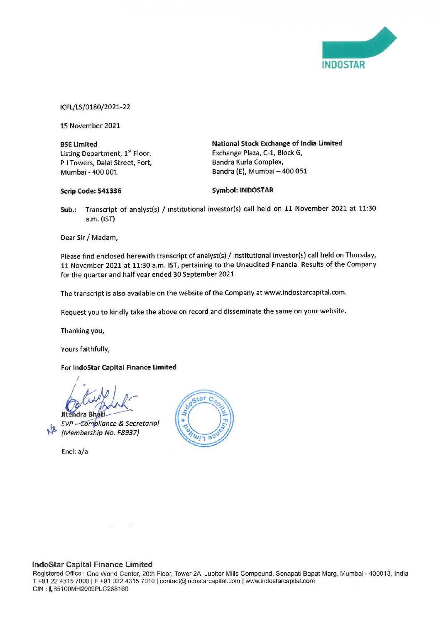

ICFL/LS/0180/2021-22

15 November 2021

**BSE Limited**  Listing Department, **1st** Floor, P J Towers, Dalal Street, Fort, Mumbai - 400 001

**National Stock Exchange of India Limited**  Exchange Plaza, C-1, Block G, Bandra Kurla Complex, Bandra (E), Mumbai - 400 051

### **Scrip Code: 541336**

**Symbol: INDOSTAR** 

**Sub.:** Transcript of analyst(s) / institutional investor(s) call held on 11 November 2021 at 11:30 a.m. (1ST)

Dear Sir/ Madam,

Please find enclosed herewith transcript of analyst(s) / institutional investor(s) call held on Thursday, 11 November 2021 at 11:30 a.m. 1ST, pertaining to the Unaudited Financial Results of the Company for the quarter and half year ended 30 September 2021.

The transcript is also available on the website of the Company at www.indostarcapital.com.

Request you to kindly take the above on record and disseminate the same on your website.

Thanking you,

Yours faithfully,

### For **lndoStar Capital Finance Limited**

*I*  **J**  idra Bhá

SVP - Compliance & Secretarial (Membership No. F8937)

Encl: a/a



### **lndoStar Capital Finance Limited**

Registered Office: One World Center. 20th Floor, Tower 2A, Jupiter Mills Compound, Senapati Bapat Marg, Mumbai - 400013, India T +91 22 4315 7000 | F +91 022 4315 7010 | contact@indostarcapital.com | www.indostarcapital.com CIN: L65100MH2009PLC268160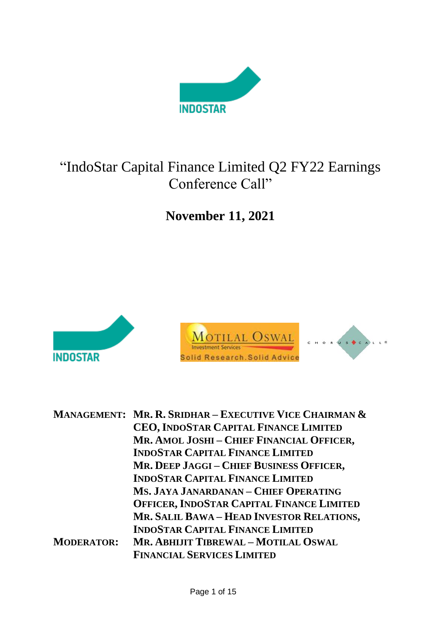

### "IndoStar Capital Finance Limited Q2 FY22 Earnings Conference Call"

**November 11, 2021**



|                   | <b>MANAGEMENT: MR. R. SRIDHAR – EXECUTIVE VICE CHAIRMAN &amp;</b> |
|-------------------|-------------------------------------------------------------------|
|                   | CEO, INDOSTAR CAPITAL FINANCE LIMITED                             |
|                   | MR. AMOL JOSHI - CHIEF FINANCIAL OFFICER,                         |
|                   | <b>INDOSTAR CAPITAL FINANCE LIMITED</b>                           |
|                   | MR. DEEP JAGGI - CHIEF BUSINESS OFFICER,                          |
|                   | <b>INDOSTAR CAPITAL FINANCE LIMITED</b>                           |
|                   | MS. JAYA JANARDANAN - CHIEF OPERATING                             |
|                   | <b>OFFICER, INDOSTAR CAPITAL FINANCE LIMITED</b>                  |
|                   | MR. SALIL BAWA - HEAD INVESTOR RELATIONS,                         |
|                   | <b>INDOSTAR CAPITAL FINANCE LIMITED</b>                           |
| <b>MODERATOR:</b> | MR. ABHIJIT TIBREWAL - MOTILAL OSWAL                              |
|                   | <b>FINANCIAL SERVICES LIMITED</b>                                 |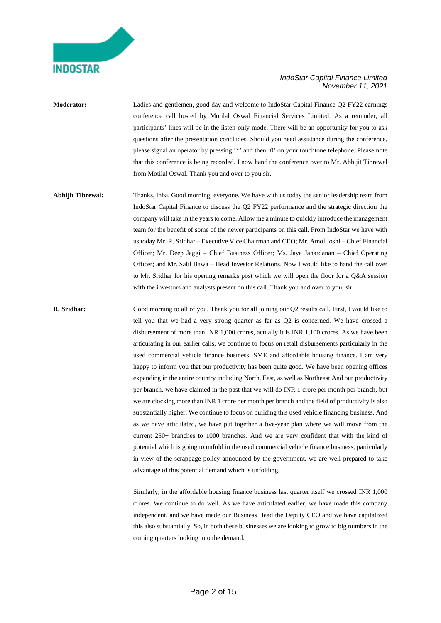

- **Moderator:** Ladies and gentlemen, good day and welcome to IndoStar Capital Finance Q2 FY22 earnings conference call hosted by Motilal Oswal Financial Services Limited. As a reminder, all participants' lines will be in the listen-only mode. There will be an opportunity for you to ask questions after the presentation concludes. Should you need assistance during the conference, please signal an operator by pressing '\*' and then '0' on your touchtone telephone. Please note that this conference is being recorded. I now hand the conference over to Mr. Abhijit Tibrewal from Motilal Oswal. Thank you and over to you sir.
- **Abhijit Tibrewal:** Thanks, Inba. Good morning, everyone. We have with us today the senior leadership team from IndoStar Capital Finance to discuss the Q2 FY22 performance and the strategic direction the company will take in the years to come. Allow me a minute to quickly introduce the management team for the benefit of some of the newer participants on this call. From IndoStar we have with us today Mr. R. Sridhar – Executive Vice Chairman and CEO; Mr. Amol Joshi – Chief Financial Officer; Mr. Deep Jaggi – Chief Business Officer; Ms. Jaya Janardanan – Chief Operating Officer; and Mr. Salil Bawa – Head Investor Relations. Now I would like to hand the call over to Mr. Sridhar for his opening remarks post which we will open the floor for a Q&A session with the investors and analysts present on this call. Thank you and over to you, sir.
- **R. Sridhar:** Good morning to all of you. Thank you for all joining our Q2 results call. First, I would like to tell you that we had a very strong quarter as far as Q2 is concerned. We have crossed a disbursement of more than INR 1,000 crores, actually it is INR 1,100 crores. As we have been articulating in our earlier calls, we continue to focus on retail disbursements particularly in the used commercial vehicle finance business, SME and affordable housing finance. I am very happy to inform you that our productivity has been quite good. We have been opening offices expanding in the entire country including North, East, as well as Northeast And our productivity per branch, we have claimed in the past that we will do INR 1 crore per month per branch, but we are clocking more than INR 1 crore per month per branch and the field **o**f productivity is also substantially higher. We continue to focus on building this used vehicle financing business. And as we have articulated, we have put together a five-year plan where we will move from the current 250+ branches to 1000 branches. And we are very confident that with the kind of potential which is going to unfold in the used commercial vehicle finance business, particularly in view of the scrappage policy announced by the government, we are well prepared to take advantage of this potential demand which is unfolding.

Similarly, in the affordable housing finance business last quarter itself we crossed INR 1,000 crores. We continue to do well. As we have articulated earlier, we have made this company independent, and we have made our Business Head the Deputy CEO and we have capitalized this also substantially. So, in both these businesses we are looking to grow to big numbers in the coming quarters looking into the demand.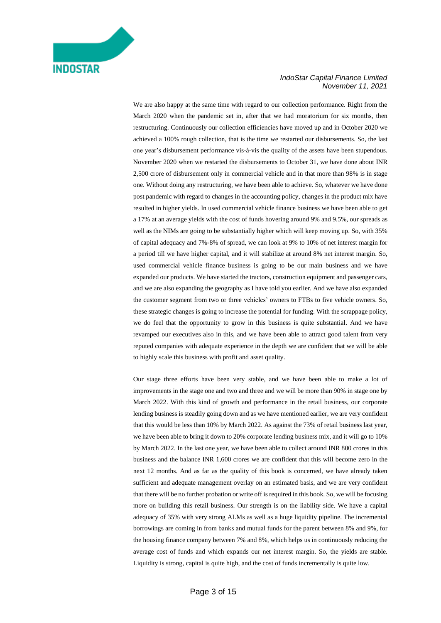#### *IndoStar Capital Finance Limited November 11, 2021*

We are also happy at the same time with regard to our collection performance. Right from the March 2020 when the pandemic set in, after that we had moratorium for six months, then restructuring. Continuously our collection efficiencies have moved up and in October 2020 we achieved a 100% rough collection, that is the time we restarted our disbursements. So, the last one year's disbursement performance vis-à-vis the quality of the assets have been stupendous. November 2020 when we restarted the disbursements to October 31, we have done about INR 2,500 crore of disbursement only in commercial vehicle and in that more than 98% is in stage one. Without doing any restructuring, we have been able to achieve. So, whatever we have done post pandemic with regard to changes in the accounting policy, changes in the product mix have resulted in higher yields. In used commercial vehicle finance business we have been able to get a 17% at an average yields with the cost of funds hovering around 9% and 9.5%, our spreads as well as the NIMs are going to be substantially higher which will keep moving up. So, with 35% of capital adequacy and 7%-8% of spread, we can look at 9% to 10% of net interest margin for a period till we have higher capital, and it will stabilize at around 8% net interest margin. So, used commercial vehicle finance business is going to be our main business and we have expanded our products. We have started the tractors, construction equipment and passenger cars, and we are also expanding the geography as I have told you earlier. And we have also expanded the customer segment from two or three vehicles' owners to FTBs to five vehicle owners. So, these strategic changes is going to increase the potential for funding. With the scrappage policy, we do feel that the opportunity to grow in this business is quite substantial. And we have revamped our executives also in this, and we have been able to attract good talent from very reputed companies with adequate experience in the depth we are confident that we will be able to highly scale this business with profit and asset quality.

Our stage three efforts have been very stable, and we have been able to make a lot of improvements in the stage one and two and three and we will be more than 90% in stage one by March 2022. With this kind of growth and performance in the retail business, our corporate lending business is steadily going down and as we have mentioned earlier, we are very confident that this would be less than 10% by March 2022. As against the 73% of retail business last year, we have been able to bring it down to 20% corporate lending business mix, and it will go to 10% by March 2022. In the last one year, we have been able to collect around INR 800 crores in this business and the balance INR 1,600 crores we are confident that this will become zero in the next 12 months. And as far as the quality of this book is concerned, we have already taken sufficient and adequate management overlay on an estimated basis, and we are very confident that there will be no further probation or write off is required in this book. So, we will be focusing more on building this retail business. Our strength is on the liability side. We have a capital adequacy of 35% with very strong ALMs as well as a huge liquidity pipeline. The incremental borrowings are coming in from banks and mutual funds for the parent between 8% and 9%, for the housing finance company between 7% and 8%, which helps us in continuously reducing the average cost of funds and which expands our net interest margin. So, the yields are stable. Liquidity is strong, capital is quite high, and the cost of funds incrementally is quite low.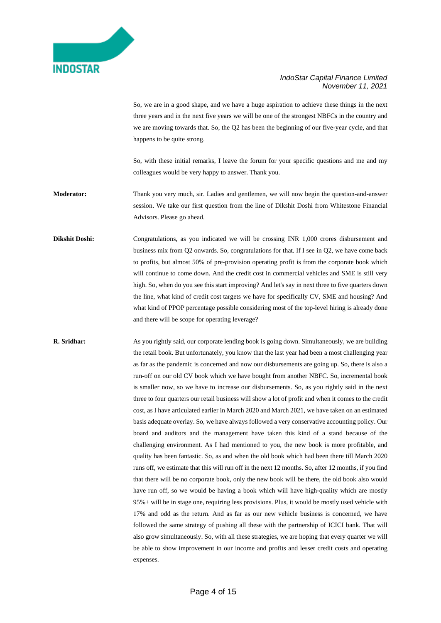### *IndoStar Capital Finance Limited November 11, 2021*

So, we are in a good shape, and we have a huge aspiration to achieve these things in the next three years and in the next five years we will be one of the strongest NBFCs in the country and we are moving towards that. So, the Q2 has been the beginning of our five-year cycle, and that happens to be quite strong.

So, with these initial remarks, I leave the forum for your specific questions and me and my colleagues would be very happy to answer. Thank you.

**Moderator:** Thank you very much, sir. Ladies and gentlemen, we will now begin the question-and-answer session. We take our first question from the line of Dikshit Doshi from Whitestone Financial Advisors. Please go ahead.

Dikshit Doshi: Congratulations, as you indicated we will be crossing INR 1,000 crores disbursement and business mix from Q2 onwards. So, congratulations for that. If I see in Q2, we have come back to profits, but almost 50% of pre-provision operating profit is from the corporate book which will continue to come down. And the credit cost in commercial vehicles and SME is still very high. So, when do you see this start improving? And let's say in next three to five quarters down the line, what kind of credit cost targets we have for specifically CV, SME and housing? And what kind of PPOP percentage possible considering most of the top-level hiring is already done and there will be scope for operating leverage?

**R. Sridhar:** As you rightly said, our corporate lending book is going down. Simultaneously, we are building the retail book. But unfortunately, you know that the last year had been a most challenging year as far as the pandemic is concerned and now our disbursements are going up. So, there is also a run-off on our old CV book which we have bought from another NBFC. So, incremental book is smaller now, so we have to increase our disbursements. So, as you rightly said in the next three to four quarters our retail business will show a lot of profit and when it comes to the credit cost, as I have articulated earlier in March 2020 and March 2021, we have taken on an estimated basis adequate overlay. So, we have always followed a very conservative accounting policy. Our board and auditors and the management have taken this kind of a stand because of the challenging environment. As I had mentioned to you, the new book is more profitable, and quality has been fantastic. So, as and when the old book which had been there till March 2020 runs off, we estimate that this will run off in the next 12 months. So, after 12 months, if you find that there will be no corporate book, only the new book will be there, the old book also would have run off, so we would be having a book which will have high-quality which are mostly 95%+ will be in stage one, requiring less provisions. Plus, it would be mostly used vehicle with 17% and odd as the return. And as far as our new vehicle business is concerned, we have followed the same strategy of pushing all these with the partnership of ICICI bank. That will also grow simultaneously. So, with all these strategies, we are hoping that every quarter we will be able to show improvement in our income and profits and lesser credit costs and operating expenses.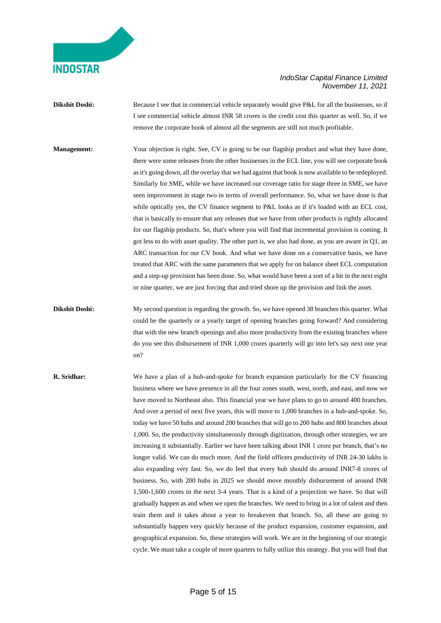### *IndoStar Capital Finance Limited November 11, 2021*

**Dikshit Doshi:** Because I see that in commercial vehicle separately would give P&L for all the businesses, so if I see commercial vehicle almost INR 58 crores is the credit cost this quarter as well. So, if we remove the corporate book of almost all the segments are still not much profitable.

**Management:** Your objection is right. See, CV is going to be our flagship product and what they have done, there were some releases from the other businesses in the ECL line, you will see corporate book as it's going down, all the overlay that we had against that book is now available to be redeployed. Similarly for SME, while we have increased our coverage ratio for stage three in SME, we have seen improvement in stage two in terms of overall performance. So, what we have done is that while optically yes, the CV finance segment to P&L looks as if it's loaded with an ECL cost, that is basically to ensure that any releases that we have from other products is rightly allocated for our flagship products. So, that's where you will find that incremental provision is coming. It got less to do with asset quality. The other part is, we also had done, as you are aware in Q1, an ARC transaction for our CV book. And what we have done on a conservative basis, we have treated that ARC with the same parameters that we apply for on balance sheet ECL computation and a step-up provision has been done. So, what would have been a sort of a hit in the next eight or nine quarter, we are just forcing that and tried shore up the provision and link the asset.

**Dikshit Doshi:** My second question is regarding the growth. So, we have opened 38 branches this quarter. What could be the quarterly or a yearly target of opening branches going forward? And considering that with the new branch openings and also more productivity from the existing branches where do you see this disbursement of INR 1,000 crores quarterly will go into let's say next one year on?

**R. Sridhar:** We have a plan of a hub-and-spoke for branch expansion particularly for the CV financing business where we have presence in all the four zones south, west, north, and east, and now we have moved to Northeast also. This financial year we have plans to go to around 400 branches. And over a period of next five years, this will move to 1,000 branches in a hub-and-spoke. So, today we have 50 hubs and around 200 branches that will go to 200 hubs and 800 branches about 1,000. So, the productivity simultaneously through digitization, through other strategies, we are increasing it substantially. Earlier we have been talking about INR 1 crore per branch, that's no longer valid. We can do much more. And the field officers productivity of INR 24-30 lakhs is also expanding very fast. So, we do feel that every hub should do around INR7-8 crores of business. So, with 200 hubs in 2025 we should move monthly disbursement of around INR 1,500-1,600 crores in the next 3-4 years. That is a kind of a projection we have. So that will gradually happen as and when we open the branches. We need to bring in a lot of talent and then train them and it takes about a year to breakeven that branch. So, all these are going to substantially happen very quickly because of the product expansion, customer expansion, and geographical expansion. So, these strategies will work. We are in the beginning of our strategic cycle. We must take a couple of more quarters to fully utilize this strategy. But you will find that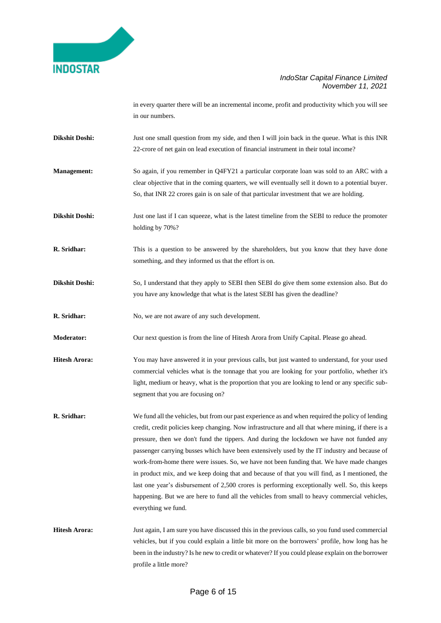### *IndoStar Capital Finance Limited November 11, 2021*

in every quarter there will be an incremental income, profit and productivity which you will see in our numbers.

- **Dikshit Doshi:** Just one small question from my side, and then I will join back in the queue. What is this INR 22-crore of net gain on lead execution of financial instrument in their total income?
- **Management:** So again, if you remember in Q4FY21 a particular corporate loan was sold to an ARC with a clear objective that in the coming quarters, we will eventually sell it down to a potential buyer. So, that INR 22 crores gain is on sale of that particular investment that we are holding.

**Dikshit Doshi:** Just one last if I can squeeze, what is the latest timeline from the SEBI to reduce the promoter holding by 70%?

- **R. Sridhar:** This is a question to be answered by the shareholders, but you know that they have done something, and they informed us that the effort is on.
- **Dikshit Doshi:** So, I understand that they apply to SEBI then SEBI do give them some extension also. But do you have any knowledge that what is the latest SEBI has given the deadline?

**R. Sridhar:** No, we are not aware of any such development.

**Moderator:** Our next question is from the line of Hitesh Arora from Unify Capital. Please go ahead.

- **Hitesh Arora:** You may have answered it in your previous calls, but just wanted to understand, for your used commercial vehicles what is the tonnage that you are looking for your portfolio, whether it's light, medium or heavy, what is the proportion that you are looking to lend or any specific subsegment that you are focusing on?
- **R. Sridhar:** We fund all the vehicles, but from our past experience as and when required the policy of lending credit, credit policies keep changing. Now infrastructure and all that where mining, if there is a pressure, then we don't fund the tippers. And during the lockdown we have not funded any passenger carrying busses which have been extensively used by the IT industry and because of work-from-home there were issues. So, we have not been funding that. We have made changes in product mix, and we keep doing that and because of that you will find, as I mentioned, the last one year's disbursement of 2,500 crores is performing exceptionally well. So, this keeps happening. But we are here to fund all the vehicles from small to heavy commercial vehicles, everything we fund.
- **Hitesh Arora:** Just again, I am sure you have discussed this in the previous calls, so you fund used commercial vehicles, but if you could explain a little bit more on the borrowers' profile, how long has he been in the industry? Is he new to credit or whatever? If you could please explain on the borrower profile a little more?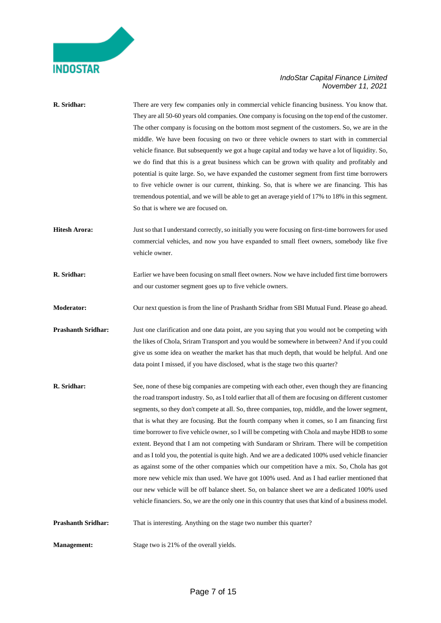### *IndoStar Capital Finance Limited November 11, 2021*

| R. Sridhar:               | There are very few companies only in commercial vehicle financing business. You know that.<br>They are all 50-60 years old companies. One company is focusing on the top end of the customer.<br>The other company is focusing on the bottom most segment of the customers. So, we are in the<br>middle. We have been focusing on two or three vehicle owners to start with in commercial<br>vehicle finance. But subsequently we got a huge capital and today we have a lot of liquidity. So,<br>we do find that this is a great business which can be grown with quality and profitably and<br>potential is quite large. So, we have expanded the customer segment from first time borrowers<br>to five vehicle owner is our current, thinking. So, that is where we are financing. This has<br>tremendous potential, and we will be able to get an average yield of 17% to 18% in this segment.<br>So that is where we are focused on.                                                                                                                                                                             |
|---------------------------|-----------------------------------------------------------------------------------------------------------------------------------------------------------------------------------------------------------------------------------------------------------------------------------------------------------------------------------------------------------------------------------------------------------------------------------------------------------------------------------------------------------------------------------------------------------------------------------------------------------------------------------------------------------------------------------------------------------------------------------------------------------------------------------------------------------------------------------------------------------------------------------------------------------------------------------------------------------------------------------------------------------------------------------------------------------------------------------------------------------------------|
| <b>Hitesh Arora:</b>      | Just so that I understand correctly, so initially you were focusing on first-time borrowers for used<br>commercial vehicles, and now you have expanded to small fleet owners, somebody like five<br>vehicle owner.                                                                                                                                                                                                                                                                                                                                                                                                                                                                                                                                                                                                                                                                                                                                                                                                                                                                                                    |
| R. Sridhar:               | Earlier we have been focusing on small fleet owners. Now we have included first time borrowers<br>and our customer segment goes up to five vehicle owners.                                                                                                                                                                                                                                                                                                                                                                                                                                                                                                                                                                                                                                                                                                                                                                                                                                                                                                                                                            |
| Moderator:                | Our next question is from the line of Prashanth Sridhar from SBI Mutual Fund. Please go ahead.                                                                                                                                                                                                                                                                                                                                                                                                                                                                                                                                                                                                                                                                                                                                                                                                                                                                                                                                                                                                                        |
| <b>Prashanth Sridhar:</b> | Just one clarification and one data point, are you saying that you would not be competing with<br>the likes of Chola, Sriram Transport and you would be somewhere in between? And if you could<br>give us some idea on weather the market has that much depth, that would be helpful. And one<br>data point I missed, if you have disclosed, what is the stage two this quarter?                                                                                                                                                                                                                                                                                                                                                                                                                                                                                                                                                                                                                                                                                                                                      |
| R. Sridhar:               | See, none of these big companies are competing with each other, even though they are financing<br>the road transport industry. So, as I told earlier that all of them are focusing on different customer<br>segments, so they don't compete at all. So, three companies, top, middle, and the lower segment,<br>that is what they are focusing. But the fourth company when it comes, so I am financing first<br>time borrower to five vehicle owner, so I will be competing with Chola and maybe HDB to some<br>extent. Beyond that I am not competing with Sundaram or Shriram. There will be competition<br>and as I told you, the potential is quite high. And we are a dedicated 100% used vehicle financier<br>as against some of the other companies which our competition have a mix. So, Chola has got<br>more new vehicle mix than used. We have got 100% used. And as I had earlier mentioned that<br>our new vehicle will be off balance sheet. So, on balance sheet we are a dedicated 100% used<br>vehicle financiers. So, we are the only one in this country that uses that kind of a business model. |
| <b>Prashanth Sridhar:</b> | That is interesting. Anything on the stage two number this quarter?                                                                                                                                                                                                                                                                                                                                                                                                                                                                                                                                                                                                                                                                                                                                                                                                                                                                                                                                                                                                                                                   |
| <b>Management:</b>        | Stage two is 21% of the overall yields.                                                                                                                                                                                                                                                                                                                                                                                                                                                                                                                                                                                                                                                                                                                                                                                                                                                                                                                                                                                                                                                                               |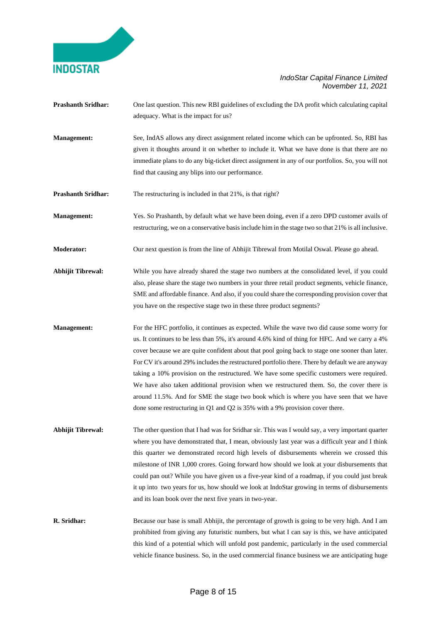### *IndoStar Capital Finance Limited November 11, 2021*

- **Prashanth Sridhar:** One last question. This new RBI guidelines of excluding the DA profit which calculating capital adequacy. What is the impact for us?
- **Management:** See, IndAS allows any direct assignment related income which can be upfronted. So, RBI has given it thoughts around it on whether to include it. What we have done is that there are no immediate plans to do any big-ticket direct assignment in any of our portfolios. So, you will not find that causing any blips into our performance.

**Prashanth Sridhar:** The restructuring is included in that 21%, is that right?

**Management:** Yes. So Prashanth, by default what we have been doing, even if a zero DPD customer avails of restructuring, we on a conservative basis include him in the stage two so that 21% is all inclusive.

**Moderator:** Our next question is from the line of Abhijit Tibrewal from Motilal Oswal. Please go ahead.

- **Abhijit Tibrewal:** While you have already shared the stage two numbers at the consolidated level, if you could also, please share the stage two numbers in your three retail product segments, vehicle finance, SME and affordable finance. And also, if you could share the corresponding provision cover that you have on the respective stage two in these three product segments?
- **Management:** For the HFC portfolio, it continues as expected. While the wave two did cause some worry for us. It continues to be less than 5%, it's around 4.6% kind of thing for HFC. And we carry a 4% cover because we are quite confident about that pool going back to stage one sooner than later. For CV it's around 29% includes the restructured portfolio there. There by default we are anyway taking a 10% provision on the restructured. We have some specific customers were required. We have also taken additional provision when we restructured them. So, the cover there is around 11.5%. And for SME the stage two book which is where you have seen that we have done some restructuring in Q1 and Q2 is 35% with a 9% provision cover there.
- **Abhijit Tibrewal:** The other question that I had was for Sridhar sir. This was I would say, a very important quarter where you have demonstrated that, I mean, obviously last year was a difficult year and I think this quarter we demonstrated record high levels of disbursements wherein we crossed this milestone of INR 1,000 crores. Going forward how should we look at your disbursements that could pan out? While you have given us a five-year kind of a roadmap, if you could just break it up into two years for us, how should we look at IndoStar growing in terms of disbursements and its loan book over the next five years in two-year.
- **R. Sridhar:** Because our base is small Abhijit, the percentage of growth is going to be very high. And I am prohibited from giving any futuristic numbers, but what I can say is this, we have anticipated this kind of a potential which will unfold post pandemic, particularly in the used commercial vehicle finance business. So, in the used commercial finance business we are anticipating huge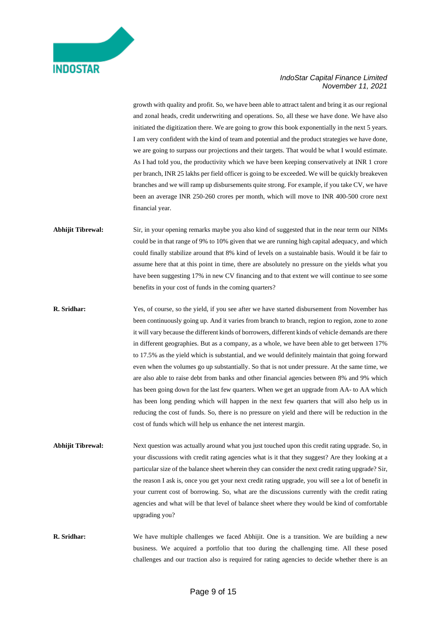### *IndoStar Capital Finance Limited November 11, 2021*

growth with quality and profit. So, we have been able to attract talent and bring it as our regional and zonal heads, credit underwriting and operations. So, all these we have done. We have also initiated the digitization there. We are going to grow this book exponentially in the next 5 years. I am very confident with the kind of team and potential and the product strategies we have done, we are going to surpass our projections and their targets. That would be what I would estimate. As I had told you, the productivity which we have been keeping conservatively at INR 1 crore per branch, INR 25 lakhs per field officer is going to be exceeded. We will be quickly breakeven branches and we will ramp up disbursements quite strong. For example, if you take CV, we have been an average INR 250-260 crores per month, which will move to INR 400-500 crore next financial year.

### **Abhijit Tibrewal:** Sir, in your opening remarks maybe you also kind of suggested that in the near term our NIMs could be in that range of 9% to 10% given that we are running high capital adequacy, and which could finally stabilize around that 8% kind of levels on a sustainable basis. Would it be fair to assume here that at this point in time, there are absolutely no pressure on the yields what you have been suggesting 17% in new CV financing and to that extent we will continue to see some benefits in your cost of funds in the coming quarters?

- **R. Sridhar:** Yes, of course, so the yield, if you see after we have started disbursement from November has been continuously going up. And it varies from branch to branch, region to region, zone to zone it will vary because the different kinds of borrowers, different kinds of vehicle demands are there in different geographies. But as a company, as a whole, we have been able to get between 17% to 17.5% as the yield which is substantial, and we would definitely maintain that going forward even when the volumes go up substantially. So that is not under pressure. At the same time, we are also able to raise debt from banks and other financial agencies between 8% and 9% which has been going down for the last few quarters. When we get an upgrade from AA- to AA which has been long pending which will happen in the next few quarters that will also help us in reducing the cost of funds. So, there is no pressure on yield and there will be reduction in the cost of funds which will help us enhance the net interest margin.
- **Abhijit Tibrewal:** Next question was actually around what you just touched upon this credit rating upgrade. So, in your discussions with credit rating agencies what is it that they suggest? Are they looking at a particular size of the balance sheet wherein they can consider the next credit rating upgrade? Sir, the reason I ask is, once you get your next credit rating upgrade, you will see a lot of benefit in your current cost of borrowing. So, what are the discussions currently with the credit rating agencies and what will be that level of balance sheet where they would be kind of comfortable upgrading you?
- **R. Sridhar:** We have multiple challenges we faced Abhijit. One is a transition. We are building a new business. We acquired a portfolio that too during the challenging time. All these posed challenges and our traction also is required for rating agencies to decide whether there is an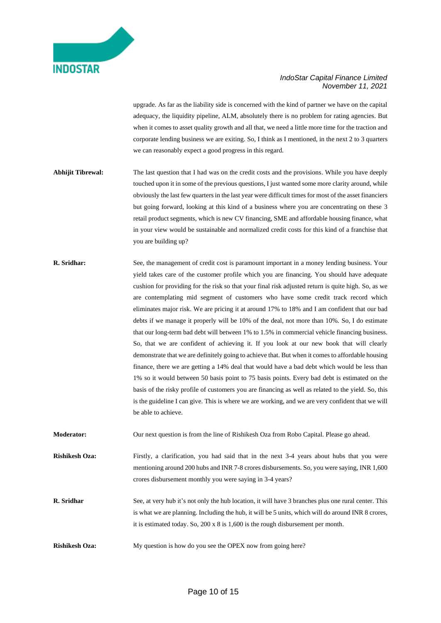

upgrade. As far as the liability side is concerned with the kind of partner we have on the capital adequacy, the liquidity pipeline, ALM, absolutely there is no problem for rating agencies. But when it comes to asset quality growth and all that, we need a little more time for the traction and corporate lending business we are exiting. So, I think as I mentioned, in the next 2 to 3 quarters we can reasonably expect a good progress in this regard.

- **Abhijit Tibrewal:** The last question that I had was on the credit costs and the provisions. While you have deeply touched upon it in some of the previous questions, I just wanted some more clarity around, while obviously the last few quarters in the last year were difficult times for most of the asset financiers but going forward, looking at this kind of a business where you are concentrating on these 3 retail product segments, which is new CV financing, SME and affordable housing finance, what in your view would be sustainable and normalized credit costs for this kind of a franchise that you are building up?
- **R. Sridhar:** See, the management of credit cost is paramount important in a money lending business. Your yield takes care of the customer profile which you are financing. You should have adequate cushion for providing for the risk so that your final risk adjusted return is quite high. So, as we are contemplating mid segment of customers who have some credit track record which eliminates major risk. We are pricing it at around 17% to 18% and I am confident that our bad debts if we manage it properly will be 10% of the deal, not more than 10%. So, I do estimate that our long-term bad debt will between 1% to 1.5% in commercial vehicle financing business. So, that we are confident of achieving it. If you look at our new book that will clearly demonstrate that we are definitely going to achieve that. But when it comes to affordable housing finance, there we are getting a 14% deal that would have a bad debt which would be less than 1% so it would between 50 basis point to 75 basis points. Every bad debt is estimated on the basis of the risky profile of customers you are financing as well as related to the yield. So, this is the guideline I can give. This is where we are working, and we are very confident that we will be able to achieve.

**Moderator:** Our next question is from the line of Rishikesh Oza from Robo Capital. Please go ahead.

**Rishikesh Oza:** Firstly, a clarification, you had said that in the next 3-4 years about hubs that you were mentioning around 200 hubs and INR 7-8 crores disbursements. So, you were saying, INR 1,600 crores disbursement monthly you were saying in 3-4 years?

**R. Sridhar** See, at very hub it's not only the hub location, it will have 3 branches plus one rural center. This is what we are planning. Including the hub, it will be 5 units, which will do around INR 8 crores, it is estimated today. So, 200 x 8 is 1,600 is the rough disbursement per month.

**Rishikesh Oza:** My question is how do you see the OPEX now from going here?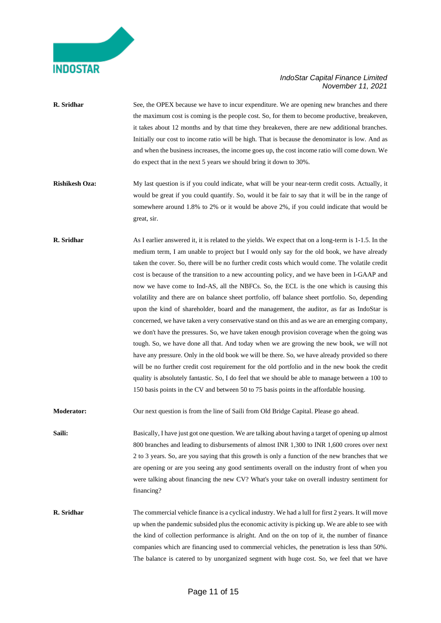### *IndoStar Capital Finance Limited November 11, 2021*

- **R.** Sridhar See, the OPEX because we have to incur expenditure. We are opening new branches and there the maximum cost is coming is the people cost. So, for them to become productive, breakeven, it takes about 12 months and by that time they breakeven, there are new additional branches. Initially our cost to income ratio will be high. That is because the denominator is low. And as and when the business increases, the income goes up, the cost income ratio will come down. We do expect that in the next 5 years we should bring it down to 30%.
- **Rishikesh Oza:** My last question is if you could indicate, what will be your near-term credit costs. Actually, it would be great if you could quantify. So, would it be fair to say that it will be in the range of somewhere around 1.8% to 2% or it would be above 2%, if you could indicate that would be great, sir.
- **R. Sridhar** As I earlier answered it, it is related to the yields. We expect that on a long-term is 1-1.5. In the medium term, I am unable to project but I would only say for the old book, we have already taken the cover. So, there will be no further credit costs which would come. The volatile credit cost is because of the transition to a new accounting policy, and we have been in I-GAAP and now we have come to Ind-AS, all the NBFCs. So, the ECL is the one which is causing this volatility and there are on balance sheet portfolio, off balance sheet portfolio. So, depending upon the kind of shareholder, board and the management, the auditor, as far as IndoStar is concerned, we have taken a very conservative stand on this and as we are an emerging company, we don't have the pressures. So, we have taken enough provision coverage when the going was tough. So, we have done all that. And today when we are growing the new book, we will not have any pressure. Only in the old book we will be there. So, we have already provided so there will be no further credit cost requirement for the old portfolio and in the new book the credit quality is absolutely fantastic. So, I do feel that we should be able to manage between a 100 to 150 basis points in the CV and between 50 to 75 basis points in the affordable housing.

**Moderator:** Our next question is from the line of Saili from Old Bridge Capital. Please go ahead.

**Saili:** Basically, I have just got one question. We are talking about having a target of opening up almost 800 branches and leading to disbursements of almost INR 1,300 to INR 1,600 crores over next 2 to 3 years. So, are you saying that this growth is only a function of the new branches that we are opening or are you seeing any good sentiments overall on the industry front of when you were talking about financing the new CV? What's your take on overall industry sentiment for financing?

**R. Sridhar** The commercial vehicle finance is a cyclical industry. We had a lull for first 2 years. It will move up when the pandemic subsided plus the economic activity is picking up. We are able to see with the kind of collection performance is alright. And on the on top of it, the number of finance companies which are financing used to commercial vehicles, the penetration is less than 50%. The balance is catered to by unorganized segment with huge cost. So, we feel that we have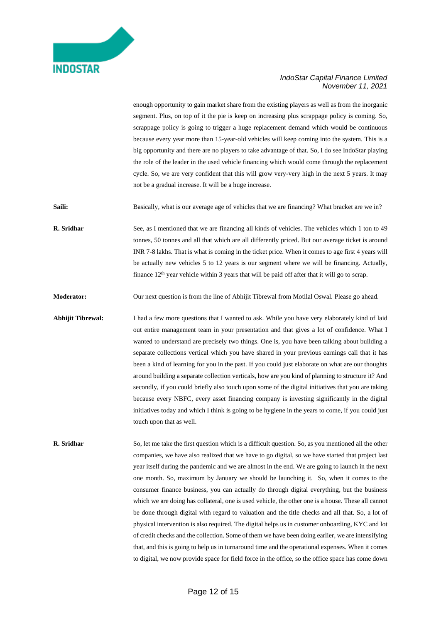

enough opportunity to gain market share from the existing players as well as from the inorganic segment. Plus, on top of it the pie is keep on increasing plus scrappage policy is coming. So, scrappage policy is going to trigger a huge replacement demand which would be continuous because every year more than 15-year-old vehicles will keep coming into the system. This is a big opportunity and there are no players to take advantage of that. So, I do see IndoStar playing the role of the leader in the used vehicle financing which would come through the replacement cycle. So, we are very confident that this will grow very-very high in the next 5 years. It may not be a gradual increase. It will be a huge increase.

Saili: Basically, what is our average age of vehicles that we are financing? What bracket are we in?

**R. Sridhar** See, as I mentioned that we are financing all kinds of vehicles. The vehicles which 1 ton to 49 tonnes, 50 tonnes and all that which are all differently priced. But our average ticket is around INR 7-8 lakhs. That is what is coming in the ticket price. When it comes to age first 4 years will be actually new vehicles 5 to 12 years is our segment where we will be financing. Actually, finance  $12<sup>th</sup>$  year vehicle within 3 years that will be paid off after that it will go to scrap.

**Moderator:** Our next question is from the line of Abhijit Tibrewal from Motilal Oswal. Please go ahead.

**Abhijit Tibrewal:** I had a few more questions that I wanted to ask. While you have very elaborately kind of laid out entire management team in your presentation and that gives a lot of confidence. What I wanted to understand are precisely two things. One is, you have been talking about building a separate collections vertical which you have shared in your previous earnings call that it has been a kind of learning for you in the past. If you could just elaborate on what are our thoughts around building a separate collection verticals, how are you kind of planning to structure it? And secondly, if you could briefly also touch upon some of the digital initiatives that you are taking because every NBFC, every asset financing company is investing significantly in the digital initiatives today and which I think is going to be hygiene in the years to come, if you could just touch upon that as well.

**R. Sridhar** So, let me take the first question which is a difficult question. So, as you mentioned all the other companies, we have also realized that we have to go digital, so we have started that project last year itself during the pandemic and we are almost in the end. We are going to launch in the next one month. So, maximum by January we should be launching it. So, when it comes to the consumer finance business, you can actually do through digital everything, but the business which we are doing has collateral, one is used vehicle, the other one is a house. These all cannot be done through digital with regard to valuation and the title checks and all that. So, a lot of physical intervention is also required. The digital helps us in customer onboarding, KYC and lot of credit checks and the collection. Some of them we have been doing earlier, we are intensifying that, and this is going to help us in turnaround time and the operational expenses. When it comes to digital, we now provide space for field force in the office, so the office space has come down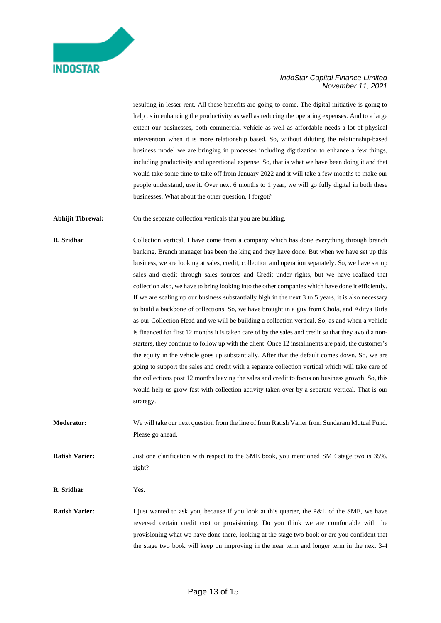

resulting in lesser rent. All these benefits are going to come. The digital initiative is going to help us in enhancing the productivity as well as reducing the operating expenses. And to a large extent our businesses, both commercial vehicle as well as affordable needs a lot of physical intervention when it is more relationship based. So, without diluting the relationship-based business model we are bringing in processes including digitization to enhance a few things, including productivity and operational expense. So, that is what we have been doing it and that would take some time to take off from January 2022 and it will take a few months to make our people understand, use it. Over next 6 months to 1 year, we will go fully digital in both these businesses. What about the other question, I forgot?

**Abhijit Tibrewal:** On the separate collection verticals that you are building.

**R. Sridhar** Collection vertical, I have come from a company which has done everything through branch banking. Branch manager has been the king and they have done. But when we have set up this business, we are looking at sales, credit, collection and operation separately. So, we have set up sales and credit through sales sources and Credit under rights, but we have realized that collection also, we have to bring looking into the other companies which have done it efficiently. If we are scaling up our business substantially high in the next 3 to 5 years, it is also necessary to build a backbone of collections. So, we have brought in a guy from Chola, and Aditya Birla as our Collection Head and we will be building a collection vertical. So, as and when a vehicle is financed for first 12 months it is taken care of by the sales and credit so that they avoid a nonstarters, they continue to follow up with the client. Once 12 installments are paid, the customer's the equity in the vehicle goes up substantially. After that the default comes down. So, we are going to support the sales and credit with a separate collection vertical which will take care of the collections post 12 months leaving the sales and credit to focus on business growth. So, this would help us grow fast with collection activity taken over by a separate vertical. That is our strategy.

**Moderator:** We will take our next question from the line of from Ratish Varier from Sundaram Mutual Fund. Please go ahead.

**Ratish Varier:** Just one clarification with respect to the SME book, you mentioned SME stage two is 35%, right?

**R. Sridhar** Yes.

**Ratish Varier:** I just wanted to ask you, because if you look at this quarter, the P&L of the SME, we have reversed certain credit cost or provisioning. Do you think we are comfortable with the provisioning what we have done there, looking at the stage two book or are you confident that the stage two book will keep on improving in the near term and longer term in the next 3-4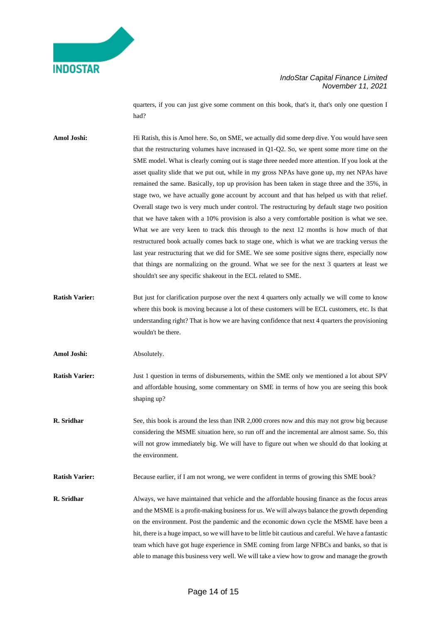### *IndoStar Capital Finance Limited November 11, 2021*

quarters, if you can just give some comment on this book, that's it, that's only one question I had?

**Amol Joshi:** Hi Ratish, this is Amol here. So, on SME, we actually did some deep dive. You would have seen that the restructuring volumes have increased in Q1-Q2. So, we spent some more time on the SME model. What is clearly coming out is stage three needed more attention. If you look at the asset quality slide that we put out, while in my gross NPAs have gone up, my net NPAs have remained the same. Basically, top up provision has been taken in stage three and the 35%, in stage two, we have actually gone account by account and that has helped us with that relief. Overall stage two is very much under control. The restructuring by default stage two position that we have taken with a 10% provision is also a very comfortable position is what we see. What we are very keen to track this through to the next 12 months is how much of that restructured book actually comes back to stage one, which is what we are tracking versus the last year restructuring that we did for SME. We see some positive signs there, especially now that things are normalizing on the ground. What we see for the next 3 quarters at least we shouldn't see any specific shakeout in the ECL related to SME.

**Ratish Varier:** But just for clarification purpose over the next 4 quarters only actually we will come to know where this book is moving because a lot of these customers will be ECL customers, etc. Is that understanding right? That is how we are having confidence that next 4 quarters the provisioning wouldn't be there.

Amol Joshi: Absolutely.

**Ratish Varier:** Just 1 question in terms of disbursements, within the SME only we mentioned a lot about SPV and affordable housing, some commentary on SME in terms of how you are seeing this book shaping up?

**R. Sridhar** See, this book is around the less than INR 2,000 crores now and this may not grow big because considering the MSME situation here, so run off and the incremental are almost same. So, this will not grow immediately big. We will have to figure out when we should do that looking at the environment.

**Ratish Varier:** Because earlier, if I am not wrong, we were confident in terms of growing this SME book?

**R. Sridhar** Always, we have maintained that vehicle and the affordable housing finance as the focus areas and the MSME is a profit-making business for us. We will always balance the growth depending on the environment. Post the pandemic and the economic down cycle the MSME have been a hit, there is a huge impact, so we will have to be little bit cautious and careful. We have a fantastic team which have got huge experience in SME coming from large NFBCs and banks, so that is able to manage this business very well. We will take a view how to grow and manage the growth